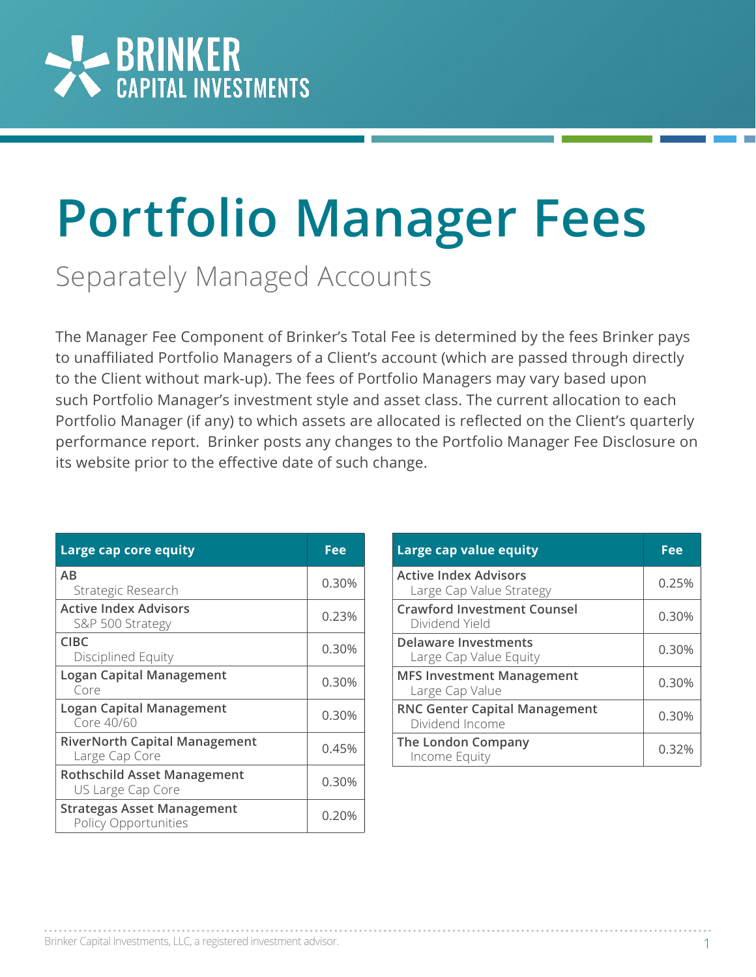

## **Portfolio Manager Fees** Separately Managed Accounts

The Manager Fee Component of Brinker's Total Fee is determined by the fees Brinker pays to unaffiliated Portfolio Managers of a Client's account (which are passed through directly to the Client without mark-up). The fees of Portfolio Managers may vary based upon such Portfolio Manager's investment style and asset class. The current allocation to each Portfolio Manager (if any) to which assets are allocated is reflected on the Client's quarterly performance report. Brinker posts any changes to the Portfolio Manager Fee Disclosure on its website prior to the effective date of such change.

| Large cap core equity                                     | Fee   |
|-----------------------------------------------------------|-------|
| AB<br>Strategic Research                                  | 0.30% |
| <b>Active Index Advisors</b><br>S&P 500 Strategy          | 0.23% |
| CIBC<br>Disciplined Equity                                | 0.30% |
| <b>Logan Capital Management</b><br>Core                   | 0.30% |
| <b>Logan Capital Management</b><br>Core 40/60             | 0.30% |
| <b>RiverNorth Capital Management</b><br>Large Cap Core    | 0.45% |
| <b>Rothschild Asset Management</b><br>US Large Cap Core   | 0.30% |
| <b>Strategas Asset Management</b><br>Policy Opportunities | 0.20% |

| Large cap value equity                                   | Fee   |
|----------------------------------------------------------|-------|
| <b>Active Index Advisors</b><br>Large Cap Value Strategy | 0.25% |
| <b>Crawford Investment Counsel</b><br>Dividend Yield     | 0.30% |
| Delaware Investments<br>Large Cap Value Equity           | 0.30% |
| <b>MFS Investment Management</b><br>Large Cap Value      | 0.30% |
| <b>RNC Genter Capital Management</b><br>Dividend Income  | 0.30% |
| The London Company<br>Income Equity                      | 0.32% |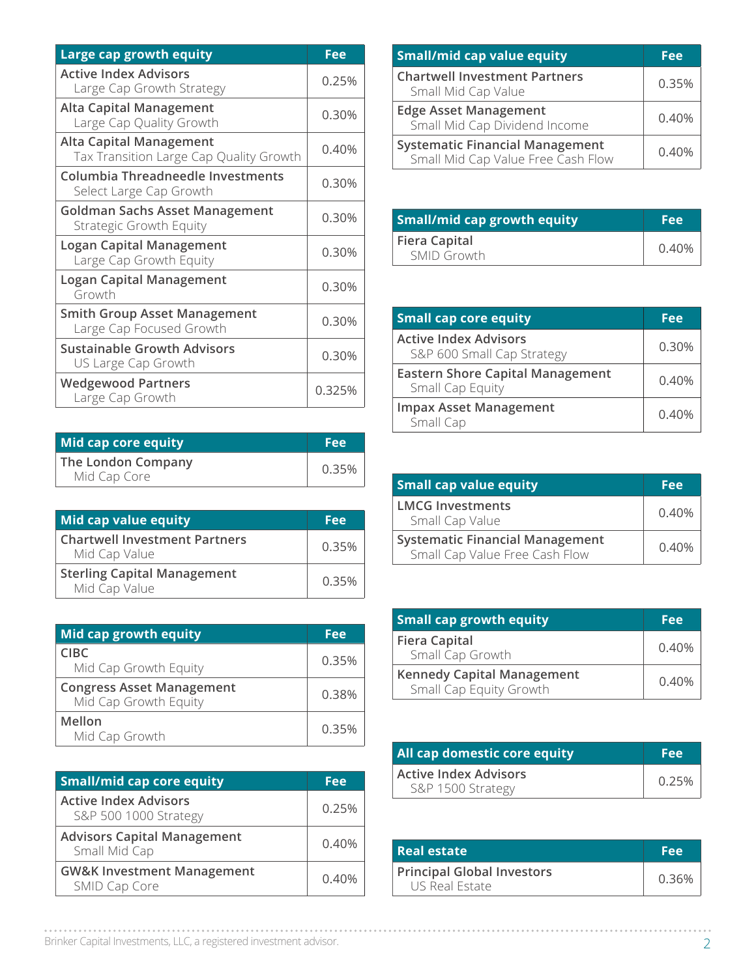| Large cap growth equity                                                   | Fee    |
|---------------------------------------------------------------------------|--------|
| <b>Active Index Advisors</b><br>Large Cap Growth Strategy                 | 0.25%  |
| <b>Alta Capital Management</b><br>Large Cap Quality Growth                | 0.30%  |
| <b>Alta Capital Management</b><br>Tax Transition Large Cap Quality Growth | 0.40%  |
| Columbia Threadneedle Investments<br>Select Large Cap Growth              | 0.30%  |
| <b>Goldman Sachs Asset Management</b><br><b>Strategic Growth Equity</b>   | 0.30%  |
| <b>Logan Capital Management</b><br>Large Cap Growth Equity                | 0.30%  |
| <b>Logan Capital Management</b><br>Growth                                 | 0.30%  |
| <b>Smith Group Asset Management</b><br>Large Cap Focused Growth           | 0.30%  |
| <b>Sustainable Growth Advisors</b><br>US Large Cap Growth                 | 0.30%  |
| <b>Wedgewood Partners</b><br>Large Cap Growth                             | 0.325% |

| Mid cap core equity                | <b>Fee</b> |
|------------------------------------|------------|
| The London Company<br>Mid Cap Core | 0.35%      |

| Mid cap value equity                                  | Fee   |
|-------------------------------------------------------|-------|
| <b>Chartwell Investment Partners</b><br>Mid Cap Value | 0.35% |
| <b>Sterling Capital Management</b><br>Mid Cap Value   | 0.35% |

| Mid cap growth equity                                     | Fee   |
|-----------------------------------------------------------|-------|
| <b>CIBC</b><br>Mid Cap Growth Equity                      | 0.35% |
| <b>Congress Asset Management</b><br>Mid Cap Growth Equity | 0.38% |
| Mellon<br>Mid Cap Growth                                  | 0.35% |

| <b>Small/mid cap core equity</b>                       | Fee   |
|--------------------------------------------------------|-------|
| <b>Active Index Advisors</b><br>S&P 500 1000 Strategy  | 0.25% |
| <b>Advisors Capital Management</b><br>Small Mid Cap    | 0.40% |
| <b>GW&amp;K Investment Management</b><br>SMID Cap Core | 0.40% |

| <b>Small/mid cap value equity</b>                                            | Fee   |
|------------------------------------------------------------------------------|-------|
| <b>Chartwell Investment Partners</b><br>Small Mid Cap Value                  | 0.35% |
| <b>Edge Asset Management</b><br>Small Mid Cap Dividend Income                | 0.40% |
| <b>Systematic Financial Management</b><br>Small Mid Cap Value Free Cash Flow | 0.40% |

| <b>Small/mid cap growth equity</b>         | <b>Fee</b> |
|--------------------------------------------|------------|
| <b>Fiera Capital</b><br><b>SMID Growth</b> | 0.40%      |

| <b>Small cap core equity</b>                                | Fee   |
|-------------------------------------------------------------|-------|
| <b>Active Index Advisors</b><br>S&P 600 Small Cap Strategy  | 0.30% |
| <b>Eastern Shore Capital Management</b><br>Small Cap Equity | 0.40% |
| <b>Impax Asset Management</b><br>Small Cap                  | 0.40% |

| <b>Small cap value equity</b>                                            | Fee   |
|--------------------------------------------------------------------------|-------|
| <b>LMCG Investments</b><br>Small Cap Value                               | 0.40% |
| <b>Systematic Financial Management</b><br>Small Cap Value Free Cash Flow | 0.40% |

| <b>Small cap growth equity</b>                               | Fee   |
|--------------------------------------------------------------|-------|
| <b>Fiera Capital</b><br>Small Cap Growth                     | 0.40% |
| <b>Kennedy Capital Management</b><br>Small Cap Equity Growth | 0.40% |

| All cap domestic core equity                      | <b>Fee</b> |
|---------------------------------------------------|------------|
| <b>Active Index Advisors</b><br>S&P 1500 Strategy | 0.25%      |

| <b>Real estate</b>                                  | Fee   |
|-----------------------------------------------------|-------|
| <b>Principal Global Investors</b><br>US Real Estate | 0.36% |

Brinker Capital Investments, LLC, a registered investment advisor. 2